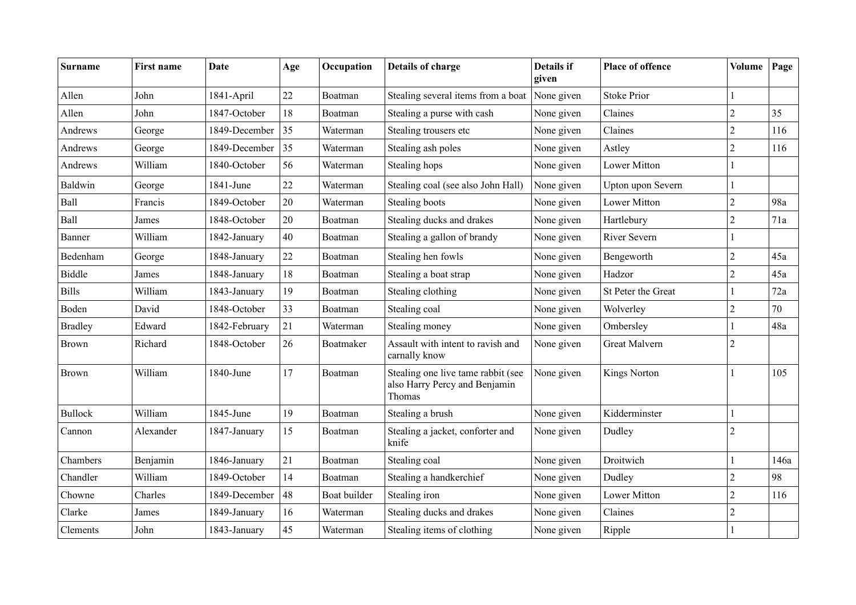| <b>Surname</b> | First name | <b>Date</b>   | Age | Occupation   | Details of charge                                                             | <b>Details if</b><br>given | Place of offence    | <b>Volume</b>  | Page |
|----------------|------------|---------------|-----|--------------|-------------------------------------------------------------------------------|----------------------------|---------------------|----------------|------|
| Allen          | John       | 1841-April    | 22  | Boatman      | Stealing several items from a boat None given                                 |                            | <b>Stoke Prior</b>  |                |      |
| Allen          | John       | 1847-October  | 18  | Boatman      | Stealing a purse with cash                                                    | None given                 | Claines             | $\overline{c}$ | 35   |
| Andrews        | George     | 1849-December | 35  | Waterman     | Stealing trousers etc                                                         | None given                 | Claines             | $\overline{c}$ | 116  |
| Andrews        | George     | 1849-December | 35  | Waterman     | Stealing ash poles                                                            | None given                 | Astley              | $\overline{c}$ | 116  |
| Andrews        | William    | 1840-October  | 56  | Waterman     | Stealing hops                                                                 | None given                 | <b>Lower Mitton</b> | 1              |      |
| Baldwin        | George     | 1841-June     | 22  | Waterman     | Stealing coal (see also John Hall)                                            | None given                 | Upton upon Severn   | $\mathbf{1}$   |      |
| Ball           | Francis    | 1849-October  | 20  | Waterman     | Stealing boots                                                                | None given                 | <b>Lower Mitton</b> | $\overline{c}$ | 98a  |
| Ball           | James      | 1848-October  | 20  | Boatman      | Stealing ducks and drakes                                                     | None given                 | Hartlebury          | $\overline{c}$ | 71a  |
| Banner         | William    | 1842-January  | 40  | Boatman      | Stealing a gallon of brandy                                                   | None given                 | <b>River Severn</b> |                |      |
| Bedenham       | George     | 1848-January  | 22  | Boatman      | Stealing hen fowls                                                            | None given                 | Bengeworth          | $\overline{2}$ | 45a  |
| <b>Biddle</b>  | James      | 1848-January  | 18  | Boatman      | Stealing a boat strap                                                         | None given                 | Hadzor              | 2              | 45a  |
| <b>Bills</b>   | William    | 1843-January  | 19  | Boatman      | Stealing clothing                                                             | None given                 | St Peter the Great  |                | 72a  |
| Boden          | David      | 1848-October  | 33  | Boatman      | Stealing coal                                                                 | None given                 | Wolverley           | $\overline{2}$ | 70   |
| <b>Bradley</b> | Edward     | 1842-February | 21  | Waterman     | Stealing money                                                                | None given                 | Ombersley           | 1              | 48a  |
| <b>Brown</b>   | Richard    | 1848-October  | 26  | Boatmaker    | Assault with intent to ravish and<br>carnally know                            | None given                 | Great Malvern       | $\overline{2}$ |      |
| <b>Brown</b>   | William    | 1840-June     | 17  | Boatman      | Stealing one live tame rabbit (see<br>also Harry Percy and Benjamin<br>Thomas | None given                 | <b>Kings Norton</b> |                | 105  |
| <b>Bullock</b> | William    | 1845-June     | 19  | Boatman      | Stealing a brush                                                              | None given                 | Kidderminster       |                |      |
| Cannon         | Alexander  | 1847-January  | 15  | Boatman      | Stealing a jacket, conforter and<br>knife                                     | None given                 | Dudley              | $\overline{2}$ |      |
| Chambers       | Benjamin   | 1846-January  | 21  | Boatman      | Stealing coal                                                                 | None given                 | Droitwich           |                | 146a |
| Chandler       | William    | 1849-October  | 14  | Boatman      | Stealing a handkerchief                                                       | None given                 | Dudley              | $\overline{c}$ | 98   |
| Chowne         | Charles    | 1849-December | 48  | Boat builder | Stealing iron                                                                 | None given                 | <b>Lower Mitton</b> | $\overline{c}$ | 116  |
| Clarke         | James      | 1849-January  | 16  | Waterman     | Stealing ducks and drakes                                                     | None given                 | Claines             | $\overline{2}$ |      |
| Clements       | John       | 1843-January  | 45  | Waterman     | Stealing items of clothing                                                    | None given                 | Ripple              |                |      |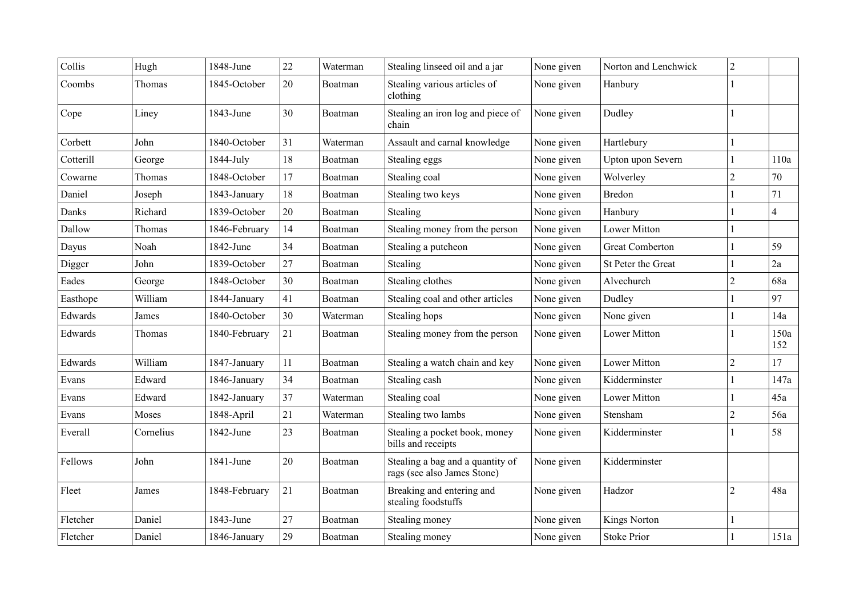| Collis    | Hugh      | 1848-June     | 22 | Waterman | Stealing linseed oil and a jar                                  | None given | Norton and Lenchwick   | $\overline{c}$ |                |
|-----------|-----------|---------------|----|----------|-----------------------------------------------------------------|------------|------------------------|----------------|----------------|
| Coombs    | Thomas    | 1845-October  | 20 | Boatman  | Stealing various articles of<br>clothing                        | None given | Hanbury                |                |                |
| Cope      | Liney     | 1843-June     | 30 | Boatman  | Stealing an iron log and piece of<br>chain                      | None given | Dudley                 |                |                |
| Corbett   | John      | 1840-October  | 31 | Waterman | Assault and carnal knowledge                                    | None given | Hartlebury             |                |                |
| Cotterill | George    | 1844-July     | 18 | Boatman  | Stealing eggs                                                   | None given | Upton upon Severn      |                | 110a           |
| Cowarne   | Thomas    | 1848-October  | 17 | Boatman  | Stealing coal                                                   | None given | Wolverley              | $\overline{c}$ | 70             |
| Daniel    | Joseph    | 1843-January  | 18 | Boatman  | Stealing two keys                                               | None given | <b>Bredon</b>          |                | 71             |
| Danks     | Richard   | 1839-October  | 20 | Boatman  | Stealing                                                        | None given | Hanbury                |                | $\overline{4}$ |
| Dallow    | Thomas    | 1846-February | 14 | Boatman  | Stealing money from the person                                  | None given | <b>Lower Mitton</b>    |                |                |
| Dayus     | Noah      | 1842-June     | 34 | Boatman  | Stealing a putcheon                                             | None given | <b>Great Comberton</b> |                | 59             |
| Digger    | John      | 1839-October  | 27 | Boatman  | Stealing                                                        | None given | St Peter the Great     |                | $2\mathrm{a}$  |
| Eades     | George    | 1848-October  | 30 | Boatman  | Stealing clothes                                                | None given | Alvechurch             | $\overline{2}$ | 68a            |
| Easthope  | William   | 1844-January  | 41 | Boatman  | Stealing coal and other articles                                | None given | Dudley                 |                | 97             |
| Edwards   | James     | 1840-October  | 30 | Waterman | Stealing hops                                                   | None given | None given             |                | 14a            |
| Edwards   | Thomas    | 1840-February | 21 | Boatman  | Stealing money from the person                                  | None given | Lower Mitton           |                | 150a<br>152    |
| Edwards   | William   | 1847-January  | 11 | Boatman  | Stealing a watch chain and key                                  | None given | <b>Lower Mitton</b>    | $\overline{c}$ | 17             |
| Evans     | Edward    | 1846-January  | 34 | Boatman  | Stealing cash                                                   | None given | Kidderminster          |                | 147a           |
| Evans     | Edward    | 1842-January  | 37 | Waterman | Stealing coal                                                   | None given | <b>Lower Mitton</b>    |                | 45a            |
| Evans     | Moses     | 1848-April    | 21 | Waterman | Stealing two lambs                                              | None given | Stensham               | $\overline{c}$ | 56a            |
| Everall   | Cornelius | 1842-June     | 23 | Boatman  | Stealing a pocket book, money<br>bills and receipts             | None given | Kidderminster          |                | 58             |
| Fellows   | John      | 1841-June     | 20 | Boatman  | Stealing a bag and a quantity of<br>rags (see also James Stone) | None given | Kidderminster          |                |                |
| Fleet     | James     | 1848-February | 21 | Boatman  | Breaking and entering and<br>stealing foodstuffs                | None given | Hadzor                 | $\overline{2}$ | 48a            |
| Fletcher  | Daniel    | 1843-June     | 27 | Boatman  | Stealing money                                                  | None given | <b>Kings Norton</b>    |                |                |
| Fletcher  | Daniel    | 1846-January  | 29 | Boatman  | Stealing money                                                  | None given | <b>Stoke Prior</b>     |                | 151a           |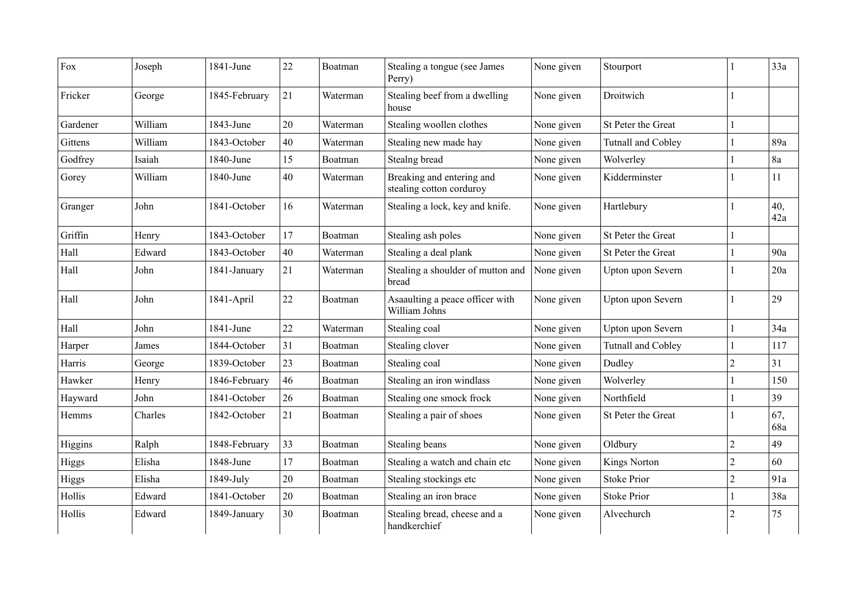| Fox          | Joseph  | 1841-June     | 22 | Boatman  | Stealing a tongue (see James<br>Perry)                | None given | Stourport                 |                | 33a        |
|--------------|---------|---------------|----|----------|-------------------------------------------------------|------------|---------------------------|----------------|------------|
| Fricker      | George  | 1845-February | 21 | Waterman | Stealing beef from a dwelling<br>house                | None given | Droitwich                 |                |            |
| Gardener     | William | 1843-June     | 20 | Waterman | Stealing woollen clothes                              | None given | St Peter the Great        |                |            |
| Gittens      | William | 1843-October  | 40 | Waterman | Stealing new made hay                                 | None given | <b>Tutnall and Cobley</b> |                | 89a        |
| Godfrey      | Isaiah  | 1840-June     | 15 | Boatman  | Stealng bread                                         | None given | Wolverley                 |                | 8a         |
| Gorey        | William | 1840-June     | 40 | Waterman | Breaking and entering and<br>stealing cotton corduroy | None given | Kidderminster             |                | 11         |
| Granger      | John    | 1841-October  | 16 | Waterman | Stealing a lock, key and knife.                       | None given | Hartlebury                |                | 40,<br>42a |
| Griffin      | Henry   | 1843-October  | 17 | Boatman  | Stealing ash poles                                    | None given | St Peter the Great        |                |            |
| Hall         | Edward  | 1843-October  | 40 | Waterman | Stealing a deal plank                                 | None given | St Peter the Great        |                | 90a        |
| Hall         | John    | 1841-January  | 21 | Waterman | Stealing a shoulder of mutton and<br>bread            | None given | Upton upon Severn         |                | 20a        |
| Hall         | John    | 1841-April    | 22 | Boatman  | Asaaulting a peace officer with<br>William Johns      | None given | Upton upon Severn         |                | 29         |
| Hall         | John    | 1841-June     | 22 | Waterman | Stealing coal                                         | None given | Upton upon Severn         |                | 34a        |
| Harper       | James   | 1844-October  | 31 | Boatman  | Stealing clover                                       | None given | <b>Tutnall and Cobley</b> |                | 117        |
| Harris       | George  | 1839-October  | 23 | Boatman  | Stealing coal                                         | None given | Dudley                    | $\overline{c}$ | 31         |
| Hawker       | Henry   | 1846-February | 46 | Boatman  | Stealing an iron windlass                             | None given | Wolverley                 |                | 150        |
| Hayward      | John    | 1841-October  | 26 | Boatman  | Stealing one smock frock                              | None given | Northfield                |                | 39         |
| Hemms        | Charles | 1842-October  | 21 | Boatman  | Stealing a pair of shoes                              | None given | St Peter the Great        |                | 67,<br>68a |
| Higgins      | Ralph   | 1848-February | 33 | Boatman  | Stealing beans                                        | None given | Oldbury                   | $\overline{c}$ | 49         |
| <b>Higgs</b> | Elisha  | 1848-June     | 17 | Boatman  | Stealing a watch and chain etc                        | None given | <b>Kings Norton</b>       | $\overline{c}$ | 60         |
| <b>Higgs</b> | Elisha  | 1849-July     | 20 | Boatman  | Stealing stockings etc                                | None given | <b>Stoke Prior</b>        | $\overline{c}$ | 91a        |
| Hollis       | Edward  | 1841-October  | 20 | Boatman  | Stealing an iron brace                                | None given | <b>Stoke Prior</b>        |                | 38a        |
| Hollis       | Edward  | 1849-January  | 30 | Boatman  | Stealing bread, cheese and a<br>handkerchief          | None given | Alvechurch                | $\overline{2}$ | 75         |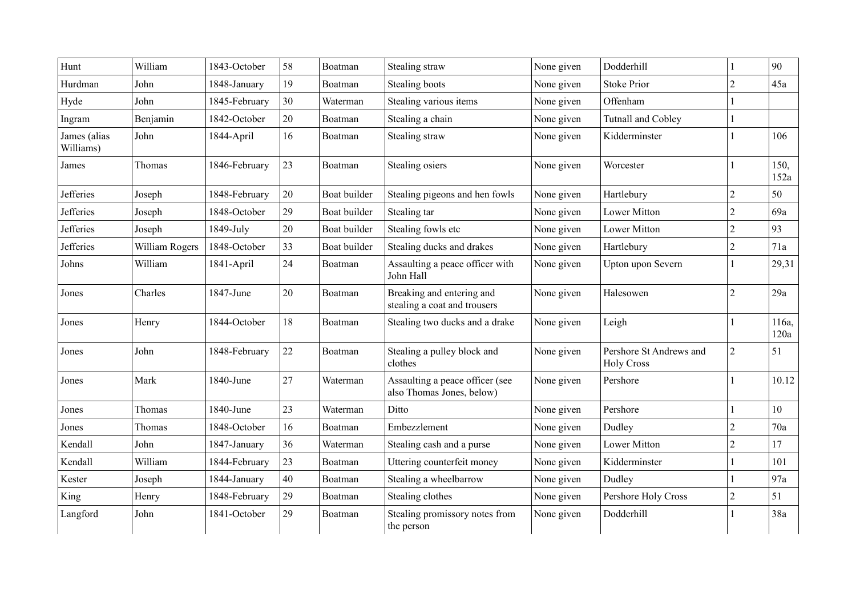| Hunt                      | William        | 1843-October  | 58 | Boatman      | Stealing straw                                               | None given | Dodderhill                                   |                | 90            |
|---------------------------|----------------|---------------|----|--------------|--------------------------------------------------------------|------------|----------------------------------------------|----------------|---------------|
| Hurdman                   | John           | 1848-January  | 19 | Boatman      | Stealing boots                                               | None given | <b>Stoke Prior</b>                           | $\overline{2}$ | 45a           |
| Hyde                      | John           | 1845-February | 30 | Waterman     | Stealing various items                                       | None given | Offenham                                     |                |               |
| Ingram                    | Benjamin       | 1842-October  | 20 | Boatman      | Stealing a chain                                             | None given | <b>Tutnall and Cobley</b>                    |                |               |
| James (alias<br>Williams) | John           | 1844-April    | 16 | Boatman      | Stealing straw                                               | None given | Kidderminster                                |                | 106           |
| James                     | Thomas         | 1846-February | 23 | Boatman      | Stealing osiers                                              | None given | Worcester                                    |                | 150,<br>152a  |
| <b>Jefferies</b>          | Joseph         | 1848-February | 20 | Boat builder | Stealing pigeons and hen fowls                               | None given | Hartlebury                                   | $\overline{2}$ | 50            |
| <b>Jefferies</b>          | Joseph         | 1848-October  | 29 | Boat builder | Stealing tar                                                 | None given | <b>Lower Mitton</b>                          | $\overline{2}$ | 69a           |
| <b>Jefferies</b>          | Joseph         | 1849-July     | 20 | Boat builder | Stealing fowls etc                                           | None given | <b>Lower Mitton</b>                          | $\overline{2}$ | 93            |
| <b>Jefferies</b>          | William Rogers | 1848-October  | 33 | Boat builder | Stealing ducks and drakes                                    | None given | Hartlebury                                   | $\overline{c}$ | 71a           |
| Johns                     | William        | 1841-April    | 24 | Boatman      | Assaulting a peace officer with<br>John Hall                 | None given | Upton upon Severn                            |                | 29,31         |
| Jones                     | Charles        | 1847-June     | 20 | Boatman      | Breaking and entering and<br>stealing a coat and trousers    | None given | Halesowen                                    | $\overline{2}$ | 29a           |
| Jones                     | Henry          | 1844-October  | 18 | Boatman      | Stealing two ducks and a drake                               | None given | Leigh                                        |                | 116a,<br>120a |
| Jones                     | John           | 1848-February | 22 | Boatman      | Stealing a pulley block and<br>clothes                       | None given | Pershore St Andrews and<br><b>Holy Cross</b> | $\overline{c}$ | 51            |
| Jones                     | Mark           | 1840-June     | 27 | Waterman     | Assaulting a peace officer (see<br>also Thomas Jones, below) | None given | Pershore                                     |                | 10.12         |
| Jones                     | Thomas         | 1840-June     | 23 | Waterman     | Ditto                                                        | None given | Pershore                                     |                | 10            |
| Jones                     | Thomas         | 1848-October  | 16 | Boatman      | Embezzlement                                                 | None given | Dudley                                       | $\overline{c}$ | 70a           |
| Kendall                   | John           | 1847-January  | 36 | Waterman     | Stealing cash and a purse                                    | None given | <b>Lower Mitton</b>                          | $\overline{2}$ | 17            |
| Kendall                   | William        | 1844-February | 23 | Boatman      | Uttering counterfeit money                                   | None given | Kidderminster                                |                | 101           |
| Kester                    | Joseph         | 1844-January  | 40 | Boatman      | Stealing a wheelbarrow                                       | None given | Dudley                                       |                | 97a           |
| King                      | Henry          | 1848-February | 29 | Boatman      | Stealing clothes                                             | None given | Pershore Holy Cross                          | $\overline{2}$ | 51            |
| Langford                  | John           | 1841-October  | 29 | Boatman      | Stealing promissory notes from<br>the person                 | None given | Dodderhill                                   | 1              | 38a           |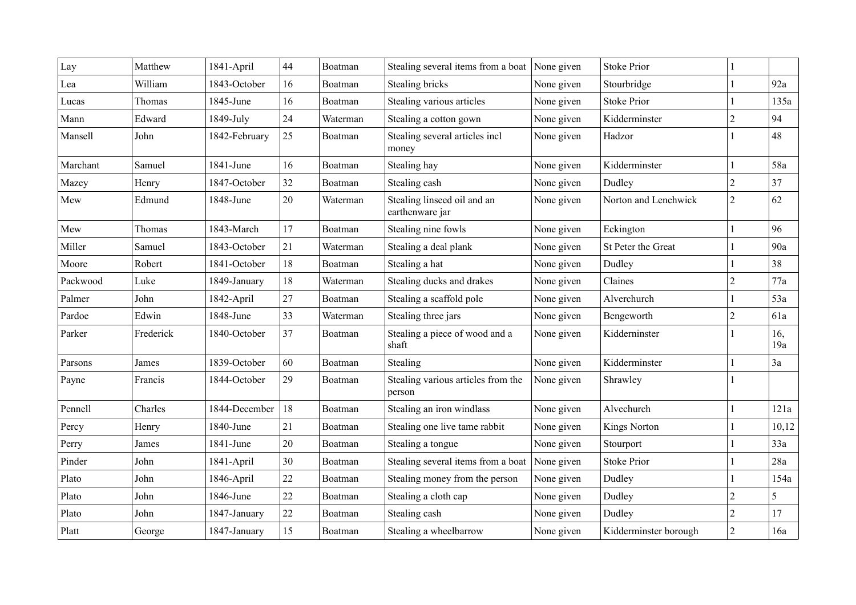| Lay      | Matthew   | 1841-April    | 44 | Boatman  | Stealing several items from a boat             | None given | <b>Stoke Prior</b>    |                |            |
|----------|-----------|---------------|----|----------|------------------------------------------------|------------|-----------------------|----------------|------------|
| Lea      | William   | 1843-October  | 16 | Boatman  | Stealing bricks                                | None given | Stourbridge           | 1              | 92a        |
| Lucas    | Thomas    | 1845-June     | 16 | Boatman  | Stealing various articles                      | None given | <b>Stoke Prior</b>    |                | 135a       |
| Mann     | Edward    | 1849-July     | 24 | Waterman | Stealing a cotton gown                         | None given | Kidderminster         | $\overline{c}$ | 94         |
| Mansell  | John      | 1842-February | 25 | Boatman  | Stealing several articles incl<br>money        | None given | Hadzor                |                | 48         |
| Marchant | Samuel    | 1841-June     | 16 | Boatman  | Stealing hay                                   | None given | Kidderminster         |                | 58a        |
| Mazey    | Henry     | 1847-October  | 32 | Boatman  | Stealing cash                                  | None given | Dudley                | $\overline{2}$ | 37         |
| Mew      | Edmund    | 1848-June     | 20 | Waterman | Stealing linseed oil and an<br>earthenware jar | None given | Norton and Lenchwick  | $\overline{2}$ | 62         |
| Mew      | Thomas    | 1843-March    | 17 | Boatman  | Stealing nine fowls                            | None given | Eckington             |                | 96         |
| Miller   | Samuel    | 1843-October  | 21 | Waterman | Stealing a deal plank                          | None given | St Peter the Great    |                | 90a        |
| Moore    | Robert    | 1841-October  | 18 | Boatman  | Stealing a hat                                 | None given | Dudley                |                | 38         |
| Packwood | Luke      | 1849-January  | 18 | Waterman | Stealing ducks and drakes                      | None given | Claines               | $\overline{c}$ | 77a        |
| Palmer   | John      | 1842-April    | 27 | Boatman  | Stealing a scaffold pole                       | None given | Alverchurch           |                | 53a        |
| Pardoe   | Edwin     | 1848-June     | 33 | Waterman | Stealing three jars                            | None given | Bengeworth            | $\overline{c}$ | 61a        |
| Parker   | Frederick | 1840-October  | 37 | Boatman  | Stealing a piece of wood and a<br>shaft        | None given | Kidderninster         |                | 16,<br>19a |
| Parsons  | James     | 1839-October  | 60 | Boatman  | Stealing                                       | None given | Kidderminster         |                | 3a         |
| Payne    | Francis   | 1844-October  | 29 | Boatman  | Stealing various articles from the<br>person   | None given | Shrawley              |                |            |
| Pennell  | Charles   | 1844-December | 18 | Boatman  | Stealing an iron windlass                      | None given | Alvechurch            |                | 121a       |
| Percy    | Henry     | 1840-June     | 21 | Boatman  | Stealing one live tame rabbit                  | None given | <b>Kings Norton</b>   |                | 10,12      |
| Perry    | James     | 1841-June     | 20 | Boatman  | Stealing a tongue                              | None given | Stourport             |                | 33a        |
| Pinder   | John      | 1841-April    | 30 | Boatman  | Stealing several items from a boat             | None given | <b>Stoke Prior</b>    |                | 28a        |
| Plato    | John      | 1846-April    | 22 | Boatman  | Stealing money from the person                 | None given | Dudley                |                | 154a       |
| Plato    | John      | 1846-June     | 22 | Boatman  | Stealing a cloth cap                           | None given | Dudley                | $\overline{c}$ | 5          |
| Plato    | John      | 1847-January  | 22 | Boatman  | Stealing cash                                  | None given | Dudley                | $\overline{c}$ | 17         |
| Platt    | George    | 1847-January  | 15 | Boatman  | Stealing a wheelbarrow                         | None given | Kidderminster borough | $\overline{2}$ | 16a        |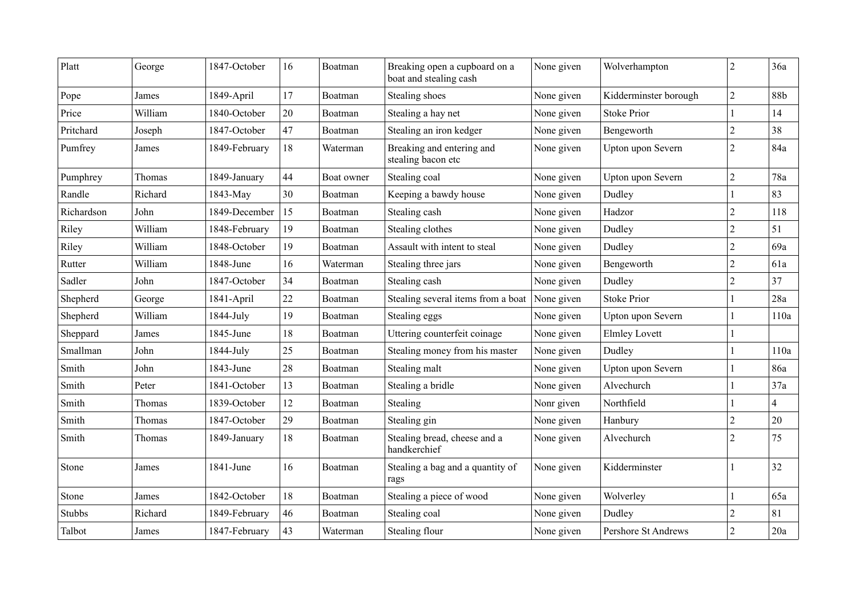| Platt         | George  | 1847-October  | 16 | Boatman    | Breaking open a cupboard on a<br>boat and stealing cash | None given | Wolverhampton              | $\overline{c}$ | 36a            |
|---------------|---------|---------------|----|------------|---------------------------------------------------------|------------|----------------------------|----------------|----------------|
| Pope          | James   | 1849-April    | 17 | Boatman    | Stealing shoes                                          | None given | Kidderminster borough      | $\overline{c}$ | 88b            |
| Price         | William | 1840-October  | 20 | Boatman    | Stealing a hay net                                      | None given | <b>Stoke Prior</b>         |                | 14             |
| Pritchard     | Joseph  | 1847-October  | 47 | Boatman    | Stealing an iron kedger                                 | None given | Bengeworth                 | $\overline{c}$ | 38             |
| Pumfrey       | James   | 1849-February | 18 | Waterman   | Breaking and entering and<br>stealing bacon etc         | None given | Upton upon Severn          | 2              | 84a            |
| Pumphrey      | Thomas  | 1849-January  | 44 | Boat owner | Stealing coal                                           | None given | Upton upon Severn          | $\overline{2}$ | 78a            |
| Randle        | Richard | 1843-May      | 30 | Boatman    | Keeping a bawdy house                                   | None given | Dudley                     |                | 83             |
| Richardson    | John    | 1849-December | 15 | Boatman    | Stealing cash                                           | None given | Hadzor                     | $\overline{c}$ | 118            |
| Riley         | William | 1848-February | 19 | Boatman    | Stealing clothes                                        | None given | Dudley                     | 2              | 51             |
| Riley         | William | 1848-October  | 19 | Boatman    | Assault with intent to steal                            | None given | Dudley                     | $\overline{c}$ | 69a            |
| Rutter        | William | 1848-June     | 16 | Waterman   | Stealing three jars                                     | None given | Bengeworth                 | $\overline{c}$ | 61a            |
| Sadler        | John    | 1847-October  | 34 | Boatman    | Stealing cash                                           | None given | Dudley                     | $\overline{c}$ | 37             |
| Shepherd      | George  | 1841-April    | 22 | Boatman    | Stealing several items from a boat                      | None given | <b>Stoke Prior</b>         |                | 28a            |
| Shepherd      | William | 1844-July     | 19 | Boatman    | Stealing eggs                                           | None given | Upton upon Severn          |                | 110a           |
| Sheppard      | James   | 1845-June     | 18 | Boatman    | Uttering counterfeit coinage                            | None given | <b>Elmley Lovett</b>       |                |                |
| Smallman      | John    | 1844-July     | 25 | Boatman    | Stealing money from his master                          | None given | Dudley                     |                | 110a           |
| Smith         | John    | 1843-June     | 28 | Boatman    | Stealing malt                                           | None given | Upton upon Severn          |                | 86a            |
| Smith         | Peter   | 1841-October  | 13 | Boatman    | Stealing a bridle                                       | None given | Alvechurch                 |                | 37a            |
| Smith         | Thomas  | 1839-October  | 12 | Boatman    | Stealing                                                | Nonr given | Northfield                 |                | $\overline{4}$ |
| Smith         | Thomas  | 1847-October  | 29 | Boatman    | Stealing gin                                            | None given | Hanbury                    | $\overline{c}$ | 20             |
| Smith         | Thomas  | 1849-January  | 18 | Boatman    | Stealing bread, cheese and a<br>handkerchief            | None given | Alvechurch                 | $\overline{2}$ | 75             |
| Stone         | James   | 1841-June     | 16 | Boatman    | Stealing a bag and a quantity of<br>rags                | None given | Kidderminster              |                | 32             |
| Stone         | James   | 1842-October  | 18 | Boatman    | Stealing a piece of wood                                | None given | Wolverley                  |                | 65a            |
| <b>Stubbs</b> | Richard | 1849-February | 46 | Boatman    | Stealing coal                                           | None given | Dudley                     | $\overline{2}$ | 81             |
| Talbot        | James   | 1847-February | 43 | Waterman   | Stealing flour                                          | None given | <b>Pershore St Andrews</b> | $\overline{c}$ | 20a            |